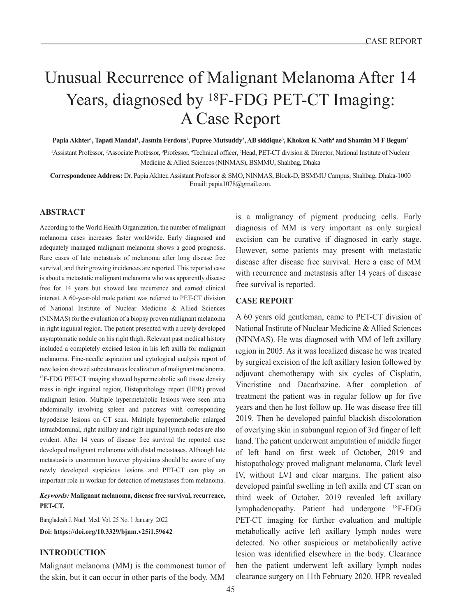# Unusual Recurrence of Malignant Melanoma After 14 Years, diagnosed by <sup>18</sup>F-FDG PET-CT Imaging: A Case Report

**Papia Akhter<sup>1</sup>, Tapati Mandal<sup>1</sup>, Jasmin Ferdous<sup>2</sup>, Pupree Mutsuddy<sup>2</sup>, AB siddique<sup>3</sup>, Khokon K Nath<sup>4</sup> and Shamim M F Begum<sup>5</sup>**

<sup>1</sup>Assistant Professor, <sup>2</sup>Associate Professor, <sup>3</sup>Professor, <sup>4</sup>Technical officer, <sup>5</sup>Head, PET-CT division & Director, National Institute of Nuclear Medicine & Allied Sciences (NINMAS), BSMMU, Shahbag, Dhaka

**Correspondence Address:** Dr. Papia Akhter, Assistant Professor & SMO, NINMAS, Block-D, BSMMU Campus, Shahbag, Dhaka-1000 Email: papia1078@gmail.com.

### **ABSTRACT**

According to the World Health Organization, the number of malignant melanoma cases increases faster worldwide. Early diagnosed and adequately managed malignant melanoma shows a good prognosis. Rare cases of late metastasis of melanoma after long disease free survival, and their growing incidences are reported. This reported case is about a metastatic malignant melanoma who was apparently disease free for 14 years but showed late recurrence and earned clinical interest. A 60-year-old male patient was referred to PET-CT division of National Institute of Nuclear Medicine & Allied Sciences (NINMAS) for the evaluation of a biopsy proven malignant melanoma in right inguinal region. The patient presented with a newly developed asymptomatic nodule on his right thigh. Relevant past medical history included a completely excised lesion in his left axilla for malignant melanoma. Fine-needle aspiration and cytological analysis report of new lesion showed subcutaneous localization of malignant melanoma. <sup>18</sup>F-FDG PET-CT imaging showed hypermetabolic soft tissue density mass in right inguinal region; Histopathology report (HPR) proved malignant lesion. Multiple hypermetabolic lesions were seen intra abdominally involving spleen and pancreas with corresponding hypodense lesions on CT scan. Multiple hypermetabolic enlarged intraabdominal, right axillary and right inguinal lymph nodes are also evident. After 14 years of disease free survival the reported case developed malignant melanoma with distal metastases. Although late metastasis is uncommon however physicians should be aware of any newly developed suspicious lesions and PET-CT can play an important role in workup for detection of metastases from melanoma.

*Keywords:* **Malignant melanoma, disease free survival, recurrence, PET-CT.**

Bangladesh J. Nucl. Med. Vol. 25 No. 1 January 2022 **Doi: https://doi.org/10.3329/bjnm.v25i1.59642**

## **INTRODUCTION**

Malignant melanoma (MM) is the commonest tumor of the skin, but it can occur in other parts of the body. MM

is a malignancy of pigment producing cells. Early diagnosis of MM is very important as only surgical excision can be curative if diagnosed in early stage. However, some patients may present with metastatic disease after disease free survival. Here a case of MM with recurrence and metastasis after 14 years of disease free survival is reported.

# **CASE REPORT**

A 60 years old gentleman, came to PET-CT division of National Institute of Nuclear Medicine & Allied Sciences (NINMAS). He was diagnosed with MM of left axillary region in 2005. As it was localized disease he was treated by surgical excision of the left axillary lesion followed by adjuvant chemotherapy with six cycles of Cisplatin, Vincristine and Dacarbazine. After completion of treatment the patient was in regular follow up for five years and then he lost follow up. He was disease free till 2019. Then he developed painful blackish discoloration of overlying skin in subungual region of 3rd finger of left hand. The patient underwent amputation of middle finger of left hand on first week of October, 2019 and histopathology proved malignant melanoma, Clark level IV, without LVI and clear margins. The patient also developed painful swelling in left axilla and CT scan on third week of October, 2019 revealed left axillary lymphadenopathy. Patient had undergone <sup>18</sup>F-FDG PET-CT imaging for further evaluation and multiple metabolically active left axillary lymph nodes were detected. No other suspicious or metabolically active lesion was identified elsewhere in the body. Clearance hen the patient underwent left axillary lymph nodes clearance surgery on 11th February 2020. HPR revealed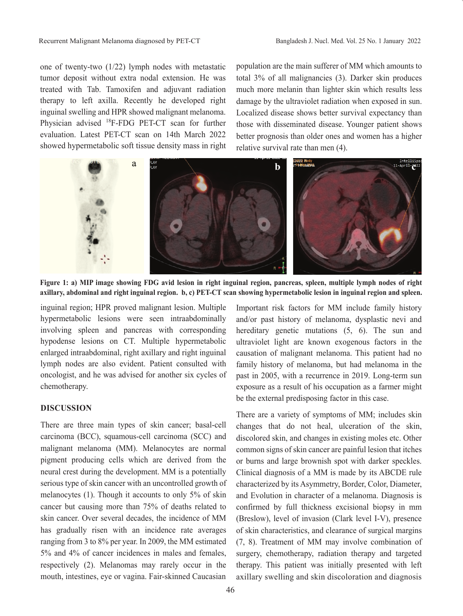one of twenty-two (1/22) lymph nodes with metastatic tumor deposit without extra nodal extension. He was treated with Tab. Tamoxifen and adjuvant radiation therapy to left axilla. Recently he developed right inguinal swelling and HPR showed malignant melanoma. Physician advised 18F-FDG PET-CT scan for further evaluation. Latest PET-CT scan on 14th March 2022 showed hypermetabolic soft tissue density mass in right population are the main sufferer of MM which amounts to total 3% of all malignancies (3). Darker skin produces much more melanin than lighter skin which results less damage by the ultraviolet radiation when exposed in sun. Localized disease shows better survival expectancy than those with disseminated disease. Younger patient shows better prognosis than older ones and women has a higher relative survival rate than men (4).



**Figure 1: a) MIP image showing FDG avid lesion in right inguinal region, pancreas, spleen, multiple lymph nodes of right axillary, abdominal and right inguinal region. b, c) PET-CT scan showing hypermetabolic lesion in inguinal region and spleen.**

inguinal region; HPR proved malignant lesion. Multiple hypermetabolic lesions were seen intraabdominally involving spleen and pancreas with corresponding hypodense lesions on CT. Multiple hypermetabolic enlarged intraabdominal, right axillary and right inguinal lymph nodes are also evident. Patient consulted with oncologist, and he was advised for another six cycles of chemotherapy.

# **DISCUSSION**

There are three main types of skin cancer; basal-cell carcinoma (BCC), squamous-cell carcinoma (SCC) and malignant melanoma (MM). Melanocytes are normal pigment producing cells which are derived from the neural crest during the development. MM is a potentially serious type of skin cancer with an uncontrolled growth of melanocytes (1). Though it accounts to only 5% of skin cancer but causing more than 75% of deaths related to skin cancer. Over several decades, the incidence of MM has gradually risen with an incidence rate averages ranging from 3 to 8% per year. In 2009, the MM estimated 5% and 4% of cancer incidences in males and females, respectively (2). Melanomas may rarely occur in the mouth, intestines, eye or vagina. Fair-skinned Caucasian

Important risk factors for MM include family history and/or past history of melanoma, dysplastic nevi and hereditary genetic mutations  $(5, 6)$ . The sun and ultraviolet light are known exogenous factors in the causation of malignant melanoma. This patient had no family history of melanoma, but had melanoma in the past in 2005, with a recurrence in 2019. Long-term sun exposure as a result of his occupation as a farmer might be the external predisposing factor in this case.

There are a variety of symptoms of MM; includes skin changes that do not heal, ulceration of the skin, discolored skin, and changes in existing moles etc. Other common signs of skin cancer are painful lesion that itches or burns and large brownish spot with darker speckles. Clinical diagnosis of a MM is made by its ABCDE rule characterized by its Asymmetry, Border, Color, Diameter, and Evolution in character of a melanoma. Diagnosis is confirmed by full thickness excisional biopsy in mm (Breslow), level of invasion (Clark level I-V), presence of skin characteristics, and clearance of surgical margins (7, 8). Treatment of MM may involve combination of surgery, chemotherapy, radiation therapy and targeted therapy. This patient was initially presented with left axillary swelling and skin discoloration and diagnosis